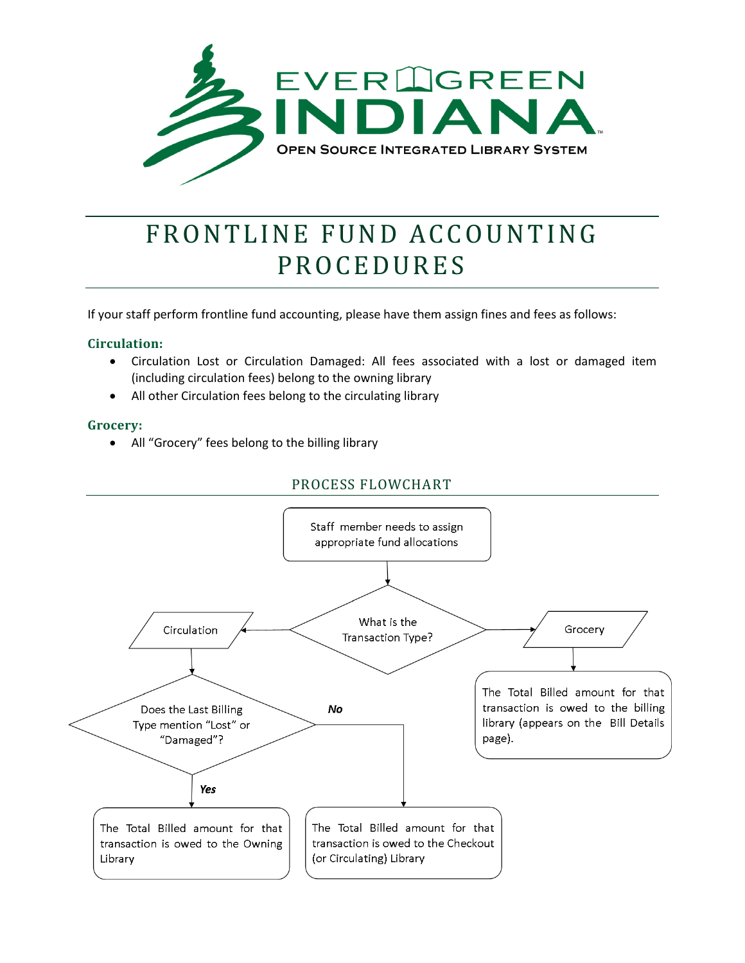

## FRONTLINE FUND ACCOUNTING **PROCEDURES**

If your staff perform frontline fund accounting, please have them assign fines and fees as follows:

## **Circulation:**

- Circulation Lost or Circulation Damaged: All fees associated with a lost or damaged item (including circulation fees) belong to the owning library
- All other Circulation fees belong to the circulating library

## **Grocery:**

• All "Grocery" fees belong to the billing library

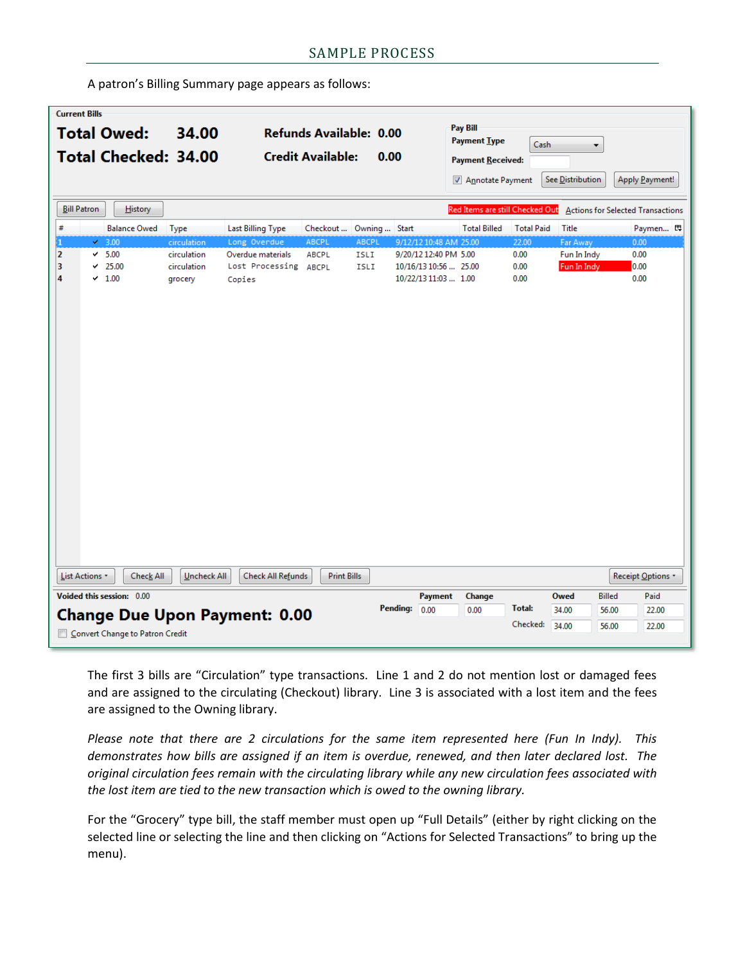A patron's Billing Summary page appears as follows:

| <b>Current Bills</b>                                       |                                                                                                                     |                           |                                                             |                   |                         |          |                                              |                          |                   |                  |               |                 |
|------------------------------------------------------------|---------------------------------------------------------------------------------------------------------------------|---------------------------|-------------------------------------------------------------|-------------------|-------------------------|----------|----------------------------------------------|--------------------------|-------------------|------------------|---------------|-----------------|
| <b>Total Owed:</b><br>34.00<br><b>Total Checked: 34.00</b> |                                                                                                                     |                           | Refunds Available: 0.00<br><b>Credit Available:</b><br>0.00 |                   |                         |          | Pay Bill<br><b>Payment Type</b><br>Cash<br>۰ |                          |                   |                  |               |                 |
|                                                            |                                                                                                                     |                           |                                                             |                   |                         |          |                                              | <b>Payment Received:</b> |                   |                  |               |                 |
|                                                            |                                                                                                                     |                           |                                                             |                   |                         |          |                                              | Annotate Payment         |                   | See Distribution |               | Apply Payment!  |
|                                                            | <b>Bill Patron</b><br>Red Items are still Checked Out<br><b>History</b><br><b>Actions for Selected Transactions</b> |                           |                                                             |                   |                         |          |                                              |                          |                   |                  |               |                 |
| #                                                          |                                                                                                                     | <b>Balance Owed</b>       | <b>Type</b>                                                 | Last Billing Type | Checkout  Owning  Start |          |                                              | <b>Total Billed</b>      | <b>Total Paid</b> | Title            |               | Paymen 母        |
|                                                            |                                                                                                                     | $\times$ 3.00             | circulation                                                 | Long Overdue      | ABCPL                   | ABCPL    | 9/12/12 10:48 AM 25.00                       |                          | 22.00             | Far Away         |               | 0.00            |
| $\overline{\mathbf{2}}$                                    |                                                                                                                     | 5.00<br>✓                 | circulation                                                 | Overdue materials | ABCPL                   | ISLI     | 9/20/12 12:40 PM 5.00                        |                          | 0.00              | Fun In Indy      |               | 0.00            |
| 3                                                          |                                                                                                                     | 25.00<br>✓                | circulation                                                 | Lost Processing   | ABCPL                   | ISLI     | 10/16/13 10:56  25.00                        |                          | 0.00              | Fun In Indy      | 0.00          |                 |
| 4                                                          |                                                                                                                     | $\times$ 1.00             | grocery                                                     | Copies            |                         |          | 10/22/13 11:03  1.00                         |                          | 0.00              |                  |               | 0.00            |
|                                                            |                                                                                                                     | Check All<br>List Actions | Uncheck All                                                 | Check All Refunds | <b>Print Bills</b>      |          |                                              |                          |                   |                  |               | Receipt Options |
|                                                            |                                                                                                                     |                           |                                                             |                   |                         |          |                                              |                          |                   |                  |               |                 |
|                                                            |                                                                                                                     | Voided this session: 0.00 |                                                             |                   |                         | Pending: | <b>Payment</b><br> 0.00                      | Change<br>0.00           | <b>Total:</b>     | Owed<br>34.00    | <b>Billed</b> | Paid            |
|                                                            | <b>Change Due Upon Payment: 0.00</b>                                                                                |                           |                                                             |                   |                         |          |                                              | Checked:                 |                   | 56.00            | 22.00         |                 |
|                                                            | 34.00<br>56.00<br>22.00<br>Convert Change to Patron Credit                                                          |                           |                                                             |                   |                         |          |                                              |                          |                   |                  |               |                 |

The first 3 bills are "Circulation" type transactions. Line 1 and 2 do not mention lost or damaged fees and are assigned to the circulating (Checkout) library. Line 3 is associated with a lost item and the fees are assigned to the Owning library.

*Please note that there are 2 circulations for the same item represented here (Fun In Indy). This demonstrates how bills are assigned if an item is overdue, renewed, and then later declared lost. The original circulation fees remain with the circulating library while any new circulation fees associated with the lost item are tied to the new transaction which is owed to the owning library.*

For the "Grocery" type bill, the staff member must open up "Full Details" (either by right clicking on the selected line or selecting the line and then clicking on "Actions for Selected Transactions" to bring up the menu).